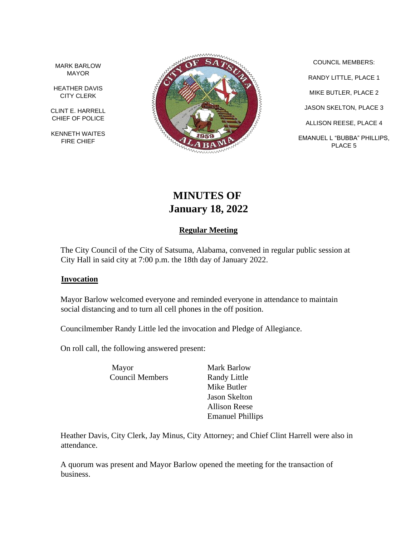MARK BARLOW MAYOR

HEATHER DAVIS CITY CLERK

CLINT E. HARRELL CHIEF OF POLICE

KENNETH WAITES FIRE CHIEF



COUNCIL MEMBERS: RANDY LITTLE, PLACE 1 MIKE BUTLER, PLACE 2 JASON SKELTON, PLACE 3 ALLISON REESE, PLACE 4 EMANUEL L "BUBBA" PHILLIPS, PLACE 5

# **MINUTES OF January 18, 2022**

# **Regular Meeting**

The City Council of the City of Satsuma, Alabama, convened in regular public session at City Hall in said city at 7:00 p.m. the 18th day of January 2022.

## **Invocation**

Mayor Barlow welcomed everyone and reminded everyone in attendance to maintain social distancing and to turn all cell phones in the off position.

Councilmember Randy Little led the invocation and Pledge of Allegiance.

On roll call, the following answered present:

Mayor Mark Barlow Council Members Randy Little

Mike Butler Jason Skelton Allison Reese Emanuel Phillips

Heather Davis, City Clerk, Jay Minus, City Attorney; and Chief Clint Harrell were also in attendance.

A quorum was present and Mayor Barlow opened the meeting for the transaction of business.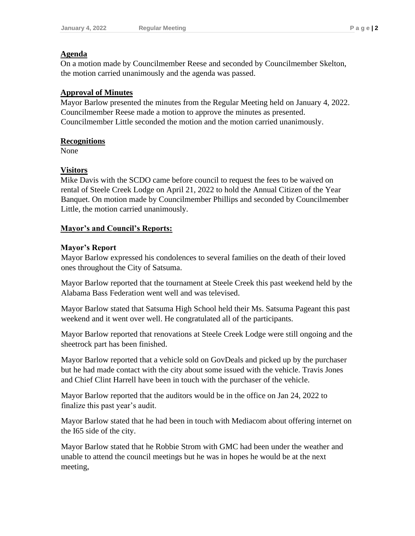# **Agenda**

On a motion made by Councilmember Reese and seconded by Councilmember Skelton, the motion carried unanimously and the agenda was passed.

# **Approval of Minutes**

Mayor Barlow presented the minutes from the Regular Meeting held on January 4, 2022. Councilmember Reese made a motion to approve the minutes as presented. Councilmember Little seconded the motion and the motion carried unanimously.

## **Recognitions**

None

# **Visitors**

Mike Davis with the SCDO came before council to request the fees to be waived on rental of Steele Creek Lodge on April 21, 2022 to hold the Annual Citizen of the Year Banquet. On motion made by Councilmember Phillips and seconded by Councilmember Little, the motion carried unanimously.

## **Mayor's and Council's Reports:**

## **Mayor's Report**

Mayor Barlow expressed his condolences to several families on the death of their loved ones throughout the City of Satsuma.

Mayor Barlow reported that the tournament at Steele Creek this past weekend held by the Alabama Bass Federation went well and was televised.

Mayor Barlow stated that Satsuma High School held their Ms. Satsuma Pageant this past weekend and it went over well. He congratulated all of the participants.

Mayor Barlow reported that renovations at Steele Creek Lodge were still ongoing and the sheetrock part has been finished.

Mayor Barlow reported that a vehicle sold on GovDeals and picked up by the purchaser but he had made contact with the city about some issued with the vehicle. Travis Jones and Chief Clint Harrell have been in touch with the purchaser of the vehicle.

Mayor Barlow reported that the auditors would be in the office on Jan 24, 2022 to finalize this past year's audit.

Mayor Barlow stated that he had been in touch with Mediacom about offering internet on the I65 side of the city.

Mayor Barlow stated that he Robbie Strom with GMC had been under the weather and unable to attend the council meetings but he was in hopes he would be at the next meeting,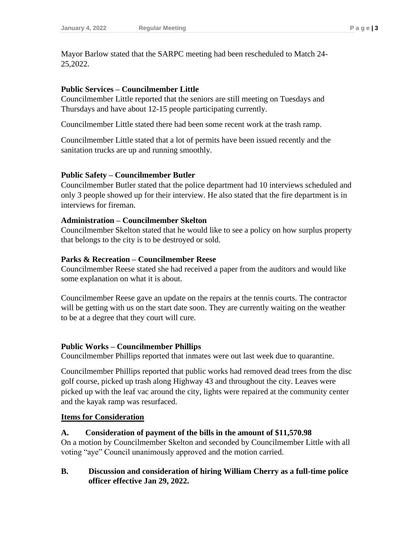Mayor Barlow stated that the SARPC meeting had been rescheduled to Match 24- 25,2022.

## **Public Services – Councilmember Little**

Councilmember Little reported that the seniors are still meeting on Tuesdays and Thursdays and have about 12-15 people participating currently.

Councilmember Little stated there had been some recent work at the trash ramp.

Councilmember Little stated that a lot of permits have been issued recently and the sanitation trucks are up and running smoothly.

#### **Public Safety – Councilmember Butler**

Councilmember Butler stated that the police department had 10 interviews scheduled and only 3 people showed up for their interview. He also stated that the fire department is in interviews for fireman.

#### **Administration – Councilmember Skelton**

Councilmember Skelton stated that he would like to see a policy on how surplus property that belongs to the city is to be destroyed or sold.

#### **Parks & Recreation – Councilmember Reese**

Councilmember Reese stated she had received a paper from the auditors and would like some explanation on what it is about.

Councilmember Reese gave an update on the repairs at the tennis courts. The contractor will be getting with us on the start date soon. They are currently waiting on the weather to be at a degree that they court will cure.

#### **Public Works – Councilmember Phillips**

Councilmember Phillips reported that inmates were out last week due to quarantine.

Councilmember Phillips reported that public works had removed dead trees from the disc golf course, picked up trash along Highway 43 and throughout the city. Leaves were picked up with the leaf vac around the city, lights were repaired at the community center and the kayak ramp was resurfaced.

## **Items for Consideration**

#### **A. Consideration of payment of the bills in the amount of \$11,570.98**

On a motion by Councilmember Skelton and seconded by Councilmember Little with all voting "aye" Council unanimously approved and the motion carried.

## **B. Discussion and consideration of hiring William Cherry as a full-time police officer effective Jan 29, 2022.**